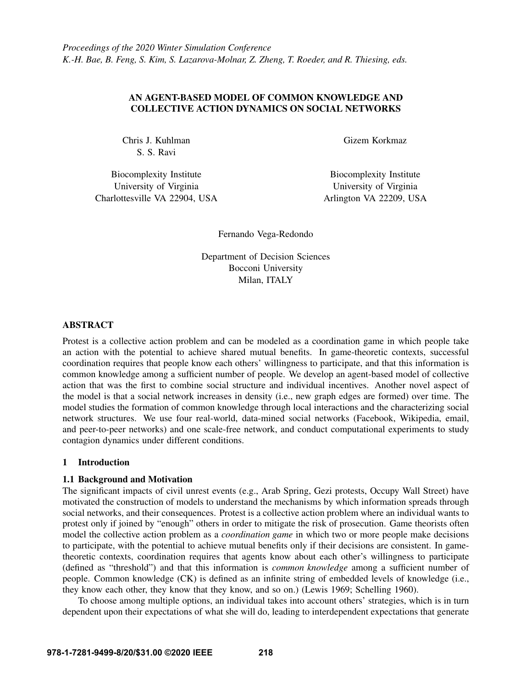# AN AGENT-BASED MODEL OF COMMON KNOWLEDGE AND COLLECTIVE ACTION DYNAMICS ON SOCIAL NETWORKS

Chris J. Kuhlman S. S. Ravi

Biocomplexity Institute University of Virginia Charlottesville VA 22904, USA Gizem Korkmaz

Biocomplexity Institute University of Virginia Arlington VA 22209, USA

Fernando Vega-Redondo

Department of Decision Sciences Bocconi University Milan, ITALY

# ABSTRACT

Protest is a collective action problem and can be modeled as a coordination game in which people take an action with the potential to achieve shared mutual benefits. In game-theoretic contexts, successful coordination requires that people know each others' willingness to participate, and that this information is common knowledge among a sufficient number of people. We develop an agent-based model of collective action that was the first to combine social structure and individual incentives. Another novel aspect of the model is that a social network increases in density (i.e., new graph edges are formed) over time. The model studies the formation of common knowledge through local interactions and the characterizing social network structures. We use four real-world, data-mined social networks (Facebook, Wikipedia, email, and peer-to-peer networks) and one scale-free network, and conduct computational experiments to study contagion dynamics under different conditions.

## <span id="page-0-0"></span>1 Introduction

# 1.1 Background and Motivation

The significant impacts of civil unrest events (e.g., Arab Spring, Gezi protests, Occupy Wall Street) have motivated the construction of models to understand the mechanisms by which information spreads through social networks, and their consequences. Protest is a collective action problem where an individual wants to protest only if joined by "enough" others in order to mitigate the risk of prosecution. Game theorists often model the collective action problem as a *coordination game* in which two or more people make decisions to participate, with the potential to achieve mutual benefits only if their decisions are consistent. In gametheoretic contexts, coordination requires that agents know about each other's willingness to participate (defined as "threshold") and that this information is *common knowledge* among a sufficient number of people. Common knowledge (CK) is defined as an infinite string of embedded levels of knowledge (i.e., they know each other, they know that they know, and so on.) [\(Lewis 1969;](#page-11-0) [Schelling 1960\)](#page-11-1).

To choose among multiple options, an individual takes into account others' strategies, which is in turn dependent upon their expectations of what she will do, leading to interdependent expectations that generate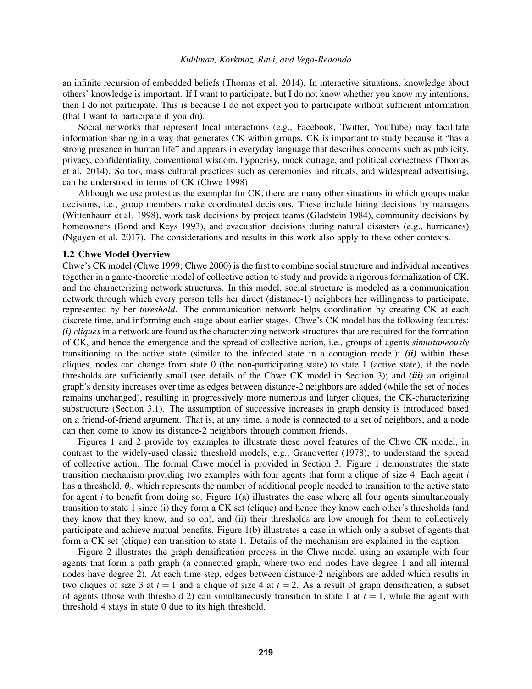an infinite recursion of embedded beliefs [\(Thomas et al. 2014\)](#page-11-2). In interactive situations, knowledge about others' knowledge is important. If I want to participate, but I do not know whether you know my intentions, then I do not participate. This is because I do not expect you to participate without sufficient information (that I want to participate if you do).

Social networks that represent local interactions (e.g., Facebook, Twitter, YouTube) may facilitate information sharing in a way that generates CK within groups. CK is important to study because it "has a strong presence in human life" and appears in everyday language that describes concerns such as publicity, privacy, confidentiality, conventional wisdom, hypocrisy, mock outrage, and political correctness [\(Thomas](#page-11-2) [et al. 2014\)](#page-11-2). So too, mass cultural practices such as ceremonies and rituals, and widespread advertising, can be understood in terms of CK [\(Chwe 1998\)](#page-10-0).

Although we use protest as the exemplar for CK, there are many other situations in which groups make decisions, i.e., group members make coordinated decisions. These include hiring decisions by managers [\(Wittenbaum et al. 1998\)](#page-11-3), work task decisions by project teams [\(Gladstein 1984\)](#page-11-4), community decisions by homeowners [\(Bond and Keys 1993\)](#page-10-1), and evacuation decisions during natural disasters (e.g., hurricanes) [\(Nguyen et al. 2017\)](#page-11-5). The considerations and results in this work also apply to these other contexts.

### 1.2 Chwe Model Overview

Chwe's CK model [\(Chwe 1999;](#page-10-2) [Chwe 2000\)](#page-11-6) is the first to combine social structure and individual incentives together in a game-theoretic model of collective action to study and provide a rigorous formalization of CK, and the characterizing network structures. In this model, social structure is modeled as a communication network through which every person tells her direct (distance-1) neighbors her willingness to participate, represented by her *threshold*. The communication network helps coordination by creating CK at each discrete time, and informing each stage about earlier stages. Chwe's CK model has the following features: *(i) cliques* in a network are found as the characterizing network structures that are required for the formation of CK, and hence the emergence and the spread of collective action, i.e., groups of agents *simultaneously* transitioning to the active state (similar to the infected state in a contagion model);  $(ii)$  within these cliques, nodes can change from state 0 (the non-participating state) to state 1 (active state), if the node thresholds are sufficiently small (see details of the Chwe CK model in Section [3\)](#page-3-0); and *(iii)* an original graph's density increases over time as edges between distance-2 neighbors are added (while the set of nodes remains unchanged), resulting in progressively more numerous and larger cliques, the CK-characterizing substructure (Section [3.1\)](#page-3-1). The assumption of successive increases in graph density is introduced based on a friend-of-friend argument. That is, at any time, a node is connected to a set of neighbors, and a node can then come to know its distance-2 neighbors through common friends.

Figures [1](#page-2-0) and [2](#page-2-1) provide toy examples to illustrate these novel features of the Chwe CK model, in contrast to the widely-used classic threshold models, e.g., Granovetter [\(1978\)](#page-11-7), to understand the spread of collective action. The formal Chwe model is provided in Section [3.](#page-3-0) Figure [1](#page-2-0) demonstrates the state transition mechanism providing two examples with four agents that form a clique of size 4. Each agent *i* has a threshold, θ*<sup>i</sup>* , which represents the number of additional people needed to transition to the active state for agent  $i$  to benefit from doing so. Figure [1\(a\)](#page-2-2) illustrates the case where all four agents simultaneously transition to state 1 since (i) they form a CK set (clique) and hence they know each other's thresholds (and they know that they know, and so on), and (ii) their thresholds are low enough for them to collectively participate and achieve mutual benefits. Figure [1\(b\)](#page-2-3) illustrates a case in which only a subset of agents that form a CK set (clique) can transition to state 1. Details of the mechanism are explained in the caption.

Figure [2](#page-2-1) illustrates the graph densification process in the Chwe model using an example with four agents that form a path graph (a connected graph, where two end nodes have degree 1 and all internal nodes have degree 2). At each time step, edges between distance-2 neighbors are added which results in two cliques of size 3 at  $t = 1$  and a clique of size 4 at  $t = 2$ . As a result of graph densification, a subset of agents (those with threshold 2) can simultaneously transition to state 1 at  $t = 1$ , while the agent with threshold 4 stays in state 0 due to its high threshold.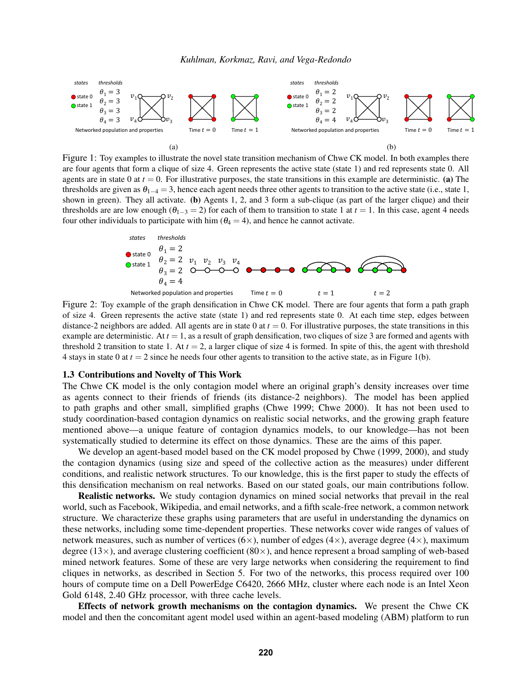<span id="page-2-2"></span><span id="page-2-0"></span>

are four agents that form a clique of size 4. Green represents the active state (state 1) and red represents state 0. All agents are in state 0 at  $t = 0$ . For illustrative purposes, the state transitions in this example are deterministic. [\(a\)](#page-2-2) The thresholds are given as  $\theta_{1-4} = 3$ , hence each agent needs three other agents to transition to the active state (i.e., state 1, shown in green). They all activate. [\(b\)](#page-2-3) Agents 1, 2, and 3 form a sub-clique (as part of the larger clique) and their thresholds are are low enough ( $\theta_{1-3} = 2$ ) for each of them to transition to state 1 at  $t = 1$ . In this case, agent 4 needs four other individuals to participate with him ( $\theta_4 = 4$ ), and hence he cannot activate.

<span id="page-2-3"></span><span id="page-2-1"></span>

Figure 2: Toy example of the graph densification in Chwe CK model. There are four agents that form a path graph of size 4. Green represents the active state (state 1) and red represents state 0. At each time step, edges between distance-2 neighbors are added. All agents are in state 0 at  $t = 0$ . For illustrative purposes, the state transitions in this example are deterministic. At  $t = 1$ , as a result of graph densification, two cliques of size 3 are formed and agents with threshold 2 transition to state 1. At  $t = 2$ , a larger clique of size 4 is formed. In spite of this, the agent with threshold 4 stays in state 0 at  $t = 2$  since he needs four other agents to transition to the active state, as in Figure 1(b).

#### <span id="page-2-4"></span>1.3 Contributions and Novelty of This Work

The Chwe CK model is the only contagion model where an original graph's density increases over time as agents connect to their friends of friends (its distance-2 neighbors). The model has been applied to path graphs and other small, simplified graphs [\(Chwe 1999;](#page-10-2) [Chwe 2000\)](#page-11-6). It has not been used to study coordination-based contagion dynamics on realistic social networks, and the growing graph feature mentioned above—a unique feature of contagion dynamics models, to our knowledge—has not been systematically studied to determine its effect on those dynamics. These are the aims of this paper.

We develop an agent-based model based on the CK model proposed by Chwe [\(1999,](#page-10-2) [2000\)](#page-11-6), and study the contagion dynamics (using size and speed of the collective action as the measures) under different conditions, and realistic network structures. To our knowledge, this is the first paper to study the effects of this densification mechanism on real networks. Based on our stated goals, our main contributions follow.

Realistic networks. We study contagion dynamics on mined social networks that prevail in the real world, such as Facebook, Wikipedia, and email networks, and a fifth scale-free network, a common network structure. We characterize these graphs using parameters that are useful in understanding the dynamics on these networks, including some time-dependent properties. These networks cover wide ranges of values of network measures, such as number of vertices ( $6\times$ ), number of edges ( $4\times$ ), average degree ( $4\times$ ), maximum degree (13 $\times$ ), and average clustering coefficient (80 $\times$ ), and hence represent a broad sampling of web-based mined network features. Some of these are very large networks when considering the requirement to find cliques in networks, as described in Section [5.](#page-7-0) For two of the networks, this process required over 100 hours of compute time on a Dell PowerEdge C6420, 2666 MHz, cluster where each node is an Intel Xeon Gold 6148, 2.40 GHz processor, with three cache levels.

Effects of network growth mechanisms on the contagion dynamics. We present the Chwe CK model and then the concomitant agent model used within an agent-based modeling (ABM) platform to run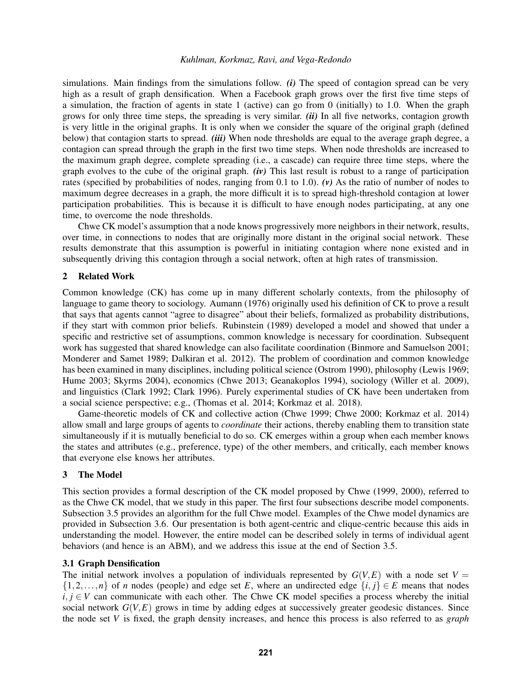simulations. Main findings from the simulations follow. *(i)* The speed of contagion spread can be very high as a result of graph densification. When a Facebook graph grows over the first five time steps of a simulation, the fraction of agents in state 1 (active) can go from 0 (initially) to 1.0. When the graph grows for only three time steps, the spreading is very similar. *(ii)* In all five networks, contagion growth is very little in the original graphs. It is only when we consider the square of the original graph (defined below) that contagion starts to spread. *(iii)* When node thresholds are equal to the average graph degree, a contagion can spread through the graph in the first two time steps. When node thresholds are increased to the maximum graph degree, complete spreading (i.e., a cascade) can require three time steps, where the graph evolves to the cube of the original graph. *(iv)* This last result is robust to a range of participation rates (specified by probabilities of nodes, ranging from 0.1 to 1.0). *(v)* As the ratio of number of nodes to maximum degree decreases in a graph, the more difficult it is to spread high-threshold contagion at lower participation probabilities. This is because it is difficult to have enough nodes participating, at any one time, to overcome the node thresholds.

Chwe CK model's assumption that a node knows progressively more neighbors in their network, results, over time, in connections to nodes that are originally more distant in the original social network. These results demonstrate that this assumption is powerful in initiating contagion where none existed and in subsequently driving this contagion through a social network, often at high rates of transmission.

### 2 Related Work

Common knowledge (CK) has come up in many different scholarly contexts, from the philosophy of language to game theory to sociology. Aumann [\(1976\)](#page-10-3) originally used his definition of CK to prove a result that says that agents cannot "agree to disagree" about their beliefs, formalized as probability distributions, if they start with common prior beliefs. Rubinstein [\(1989\)](#page-11-8) developed a model and showed that under a specific and restrictive set of assumptions, common knowledge is necessary for coordination. Subsequent work has suggested that shared knowledge can also facilitate coordination [\(Binmore and Samuelson 2001;](#page-10-4) [Monderer and Samet 1989;](#page-11-9) [Dalkiran et al. 2012\)](#page-11-10). The problem of coordination and common knowledge has been examined in many disciplines, including political science [\(Ostrom 1990\)](#page-11-11), philosophy [\(Lewis 1969;](#page-11-0) [Hume 2003;](#page-11-12) [Skyrms 2004\)](#page-11-13), economics [\(Chwe 2013;](#page-11-14) [Geanakoplos 1994\)](#page-11-15), sociology [\(Willer et al. 2009\)](#page-11-16), and linguistics [\(Clark 1992;](#page-11-17) [Clark 1996\)](#page-11-18). Purely experimental studies of CK have been undertaken from a social science perspective; e.g., [\(Thomas et al. 2014;](#page-11-2) [Korkmaz et al. 2018\)](#page-11-19).

Game-theoretic models of CK and collective action [\(Chwe 1999;](#page-10-2) [Chwe 2000;](#page-11-6) [Korkmaz et al. 2014\)](#page-11-20) allow small and large groups of agents to *coordinate* their actions, thereby enabling them to transition state simultaneously if it is mutually beneficial to do so. CK emerges within a group when each member knows the states and attributes (e.g., preference, type) of the other members, and critically, each member knows that everyone else knows her attributes.

## <span id="page-3-0"></span>3 The Model

This section provides a formal description of the CK model proposed by Chwe [\(1999,](#page-10-2) [2000\)](#page-11-6), referred to as the Chwe CK model, that we study in this paper. The first four subsections describe model components. Subsection 3.5 provides an algorithm for the full Chwe model. Examples of the Chwe model dynamics are provided in Subsection 3.6. Our presentation is both agent-centric and clique-centric because this aids in understanding the model. However, the entire model can be described solely in terms of individual agent behaviors (and hence is an ABM), and we address this issue at the end of Section [3.5.](#page-5-0)

### <span id="page-3-1"></span>3.1 Graph Densification

The initial network involves a population of individuals represented by  $G(V,E)$  with a node set  $V =$  $\{1,2,\ldots,n\}$  of *n* nodes (people) and edge set *E*, where an undirected edge  $\{i, j\} \in E$  means that nodes *i*,  $j \in V$  can communicate with each other. The Chwe CK model specifies a process whereby the initial social network *G*(*V*,*E*) grows in time by adding edges at successively greater geodesic distances. Since the node set *V* is fixed, the graph density increases, and hence this process is also referred to as *graph*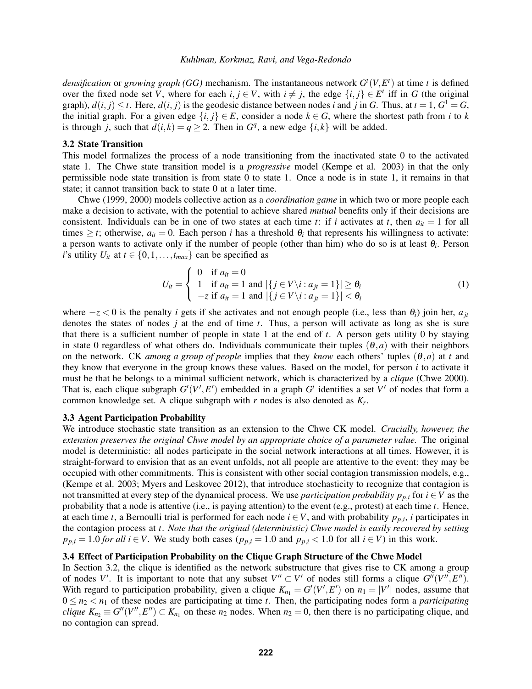*densification* or *growing graph (GG)* mechanism. The instantaneous network *G t* (*V*,*E t* ) at time *t* is defined over the fixed node set *V*, where for each  $i, j \in V$ , with  $i \neq j$ , the edge  $\{i, j\} \in E^t$  iff in *G* (the original graph),  $d(i, j) \le t$ . Here,  $d(i, j)$  is the geodesic distance between nodes *i* and *j* in *G*. Thus, at  $t = 1$ ,  $G^1 = G$ , the initial graph. For a given edge  $\{i, j\} \in E$ , consider a node  $k \in G$ , where the shortest path from *i* to *k* is through *j*, such that  $d(i,k) = q \geq 2$ . Then in  $G<sup>q</sup>$ , a new edge  $\{i,k\}$  will be added.

### <span id="page-4-0"></span>3.2 State Transition

This model formalizes the process of a node transitioning from the inactivated state 0 to the activated state 1. The Chwe state transition model is a *progressive* model [\(Kempe et al. 2003\)](#page-11-21) in that the only permissible node state transition is from state 0 to state 1. Once a node is in state 1, it remains in that state; it cannot transition back to state 0 at a later time.

Chwe [\(1999,](#page-10-2) [2000\)](#page-11-6) models collective action as a *coordination game* in which two or more people each make a decision to activate, with the potential to achieve shared *mutual* benefits only if their decisions are consistent. Individuals can be in one of two states at each time *t*: if *i* activates at *t*, then  $a_{it} = 1$  for all times  $\geq t$ ; otherwise,  $a_{it} = 0$ . Each person *i* has a threshold  $\theta_i$  that represents his willingness to activate: a person wants to activate only if the number of people (other than him) who do so is at least θ*<sup>i</sup>* . Person *i*'s utility  $U_{it}$  at  $t \in \{0, 1, \ldots, t_{max}\}$  can be specified as

<span id="page-4-1"></span>
$$
U_{it} = \begin{cases} 0 & \text{if } a_{it} = 0 \\ 1 & \text{if } a_{it} = 1 \text{ and } |\{j \in V \setminus i : a_{jt} = 1\}| \ge \theta_i \\ -z & \text{if } a_{it} = 1 \text{ and } |\{j \in V \setminus i : a_{jt} = 1\}| < \theta_i \end{cases}
$$
(1)

where  $-z < 0$  is the penalty *i* gets if she activates and not enough people (i.e., less than  $\theta_i$ ) join her,  $a_{it}$ denotes the states of nodes *j* at the end of time *t*. Thus, a person will activate as long as she is sure that there is a sufficient number of people in state 1 at the end of *t*. A person gets utility 0 by staying in state 0 regardless of what others do. Individuals communicate their tuples  $(\theta, a)$  with their neighbors on the network. CK *among a group of people* implies that they *know* each others' tuples (θ,*a*) at *t* and they know that everyone in the group knows these values. Based on the model, for person *i* to activate it must be that he belongs to a minimal sufficient network, which is characterized by a *clique* [\(Chwe 2000\)](#page-11-6). That is, each clique subgraph  $G'(V', E')$  embedded in a graph  $G'$  identifies a set  $V'$  of nodes that form a common knowledge set. A clique subgraph with *r* nodes is also denoted as *K<sup>r</sup>* .

#### <span id="page-4-2"></span>3.3 Agent Participation Probability

We introduce stochastic state transition as an extension to the Chwe CK model. *Crucially, however, the extension preserves the original Chwe model by an appropriate choice of a parameter value.* The original model is deterministic: all nodes participate in the social network interactions at all times. However, it is straight-forward to envision that as an event unfolds, not all people are attentive to the event: they may be occupied with other commitments. This is consistent with other social contagion transmission models, e.g., [\(Kempe et al. 2003;](#page-11-21) [Myers and Leskovec 2012\)](#page-11-22), that introduce stochasticity to recognize that contagion is not transmitted at every step of the dynamical process. We use *participation probability*  $p_{p,i}$  for  $i \in V$  as the probability that a node is attentive (i.e., is paying attention) to the event (e.g., protest) at each time *t*. Hence, at each time *t*, a Bernoulli trial is performed for each node  $i \in V$ , and with probability  $p_{p,i}$ , *i* participates in the contagion process at *t*. *Note that the original (deterministic) Chwe model is easily recovered by setting*  $p_{p,i} = 1.0$  *for all i* ∈ *V*. We study both cases ( $p_{p,i} = 1.0$  and  $p_{p,i} < 1.0$  for all  $i \in V$ ) in this work.

### <span id="page-4-3"></span>3.4 Effect of Participation Probability on the Clique Graph Structure of the Chwe Model

In Section [3.2,](#page-4-0) the clique is identified as the network substructure that gives rise to CK among a group of nodes *V'*. It is important to note that any subset  $V'' \subset V'$  of nodes still forms a clique  $G''(V'', E'')$ . With regard to participation probability, given a clique  $K_{n_1} = G'(V', E')$  on  $n_1 = |V'|$  nodes, assume that  $0 \le n_2 < n_1$  of these nodes are participating at time *t*. Then, the participating nodes form a *participating clique*  $K_{n_2} \equiv G''(V'', E'') \subset K_{n_1}$  on these  $n_2$  nodes. When  $n_2 = 0$ , then there is no participating clique, and no contagion can spread.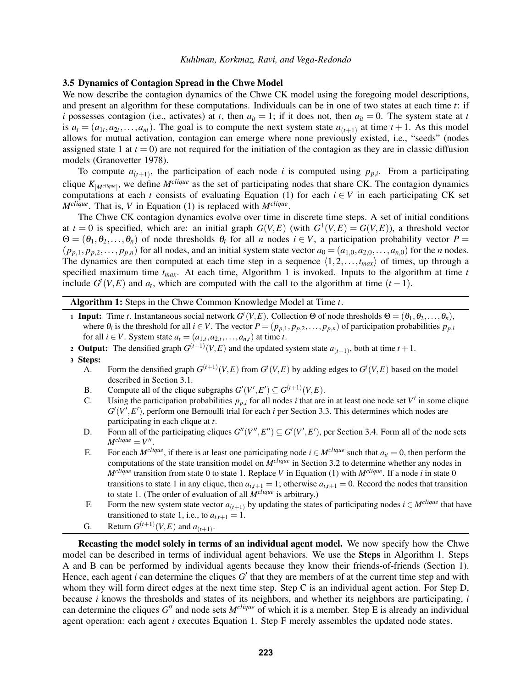# <span id="page-5-0"></span>3.5 Dynamics of Contagion Spread in the Chwe Model

We now describe the contagion dynamics of the Chwe CK model using the foregoing model descriptions, and present an algorithm for these computations. Individuals can be in one of two states at each time *t*: if *i* possesses contagion (i.e., activates) at *t*, then  $a_{it} = 1$ ; if it does not, then  $a_{it} = 0$ . The system state at *t* is  $a_t = (a_{1t}, a_{2t}, \dots, a_{nt})$ . The goal is to compute the next system state  $a_{(t+1)}$  at time  $t+1$ . As this model allows for mutual activation, contagion can emerge where none previously existed, i.e., "seeds" (nodes assigned state 1 at  $t = 0$ ) are not required for the initiation of the contagion as they are in classic diffusion models [\(Granovetter 1978\)](#page-11-7).

To compute  $a_{(t+1)}$ , the participation of each node *i* is computed using  $p_{p,i}$ . From a participating clique  $K_{|M^{clique}|}$ , we define  $M^{clique}$  as the set of participating nodes that share CK. The contagion dynamics computations at each *t* consists of evaluating Equation [\(1\)](#page-4-1) for each  $i \in V$  in each participating CK set *Mclique*. That is, *V* in Equation [\(1\)](#page-4-1) is replaced with *Mclique* .

The Chwe CK contagion dynamics evolve over time in discrete time steps. A set of initial conditions at  $t = 0$  is specified, which are: an initial graph  $G(V, E)$  (with  $G^1(V, E) = G(V, E)$ ), a threshold vector  $\Theta = (\theta_1, \theta_2, \dots, \theta_n)$  of node thresholds  $\theta_i$  for all *n* nodes  $i \in V$ , a participation probability vector  $P =$  $(p_{p,1}, p_{p,2}, \ldots, p_{p,n})$  for all nodes, and an initial system state vector  $a_0 = (a_{1,0}, a_{2,0}, \ldots, a_{n,0})$  for the *n* nodes. The dynamics are then computed at each time step in a sequence  $\langle 1,2,\ldots,t_{max} \rangle$  of times, up through a specified maximum time *tmax*. At each time, Algorithm [1](#page-5-1) is invoked. Inputs to the algorithm at time *t* include  $G^t(V, E)$  and  $a_t$ , which are computed with the call to the algorithm at time  $(t - 1)$ .

Algorithm 1: Steps in the Chwe Common Knowledge Model at Time *t*.

- 1 Input: Time *t*. Instantaneous social network  $G^t(V, E)$ . Collection  $\Theta$  of node thresholds  $\Theta = (\theta_1, \theta_2, \dots, \theta_n)$ , where  $\theta_i$  is the threshold for all  $i \in V$ . The vector  $P = (p_{p,1}, p_{p,2}, \ldots, p_{p,n})$  of participation probabilities  $p_{p,i}$ for all  $i \in V$ . System state  $a_t = (a_{1,t}, a_{2,t}, \ldots, a_{n,t})$  at time *t*.
- 2 Output: The densified graph  $G^{(t+1)}(V,E)$  and the updated system state  $a_{(t+1)}$ , both at time  $t+1$ .
- <sup>3</sup> Steps:
	- A. Form the densified graph  $G^{(t+1)}(V,E)$  from  $G^{t}(V,E)$  by adding edges to  $G^{t}(V,E)$  based on the model described in Section [3.1.](#page-3-1)
	- B. Compute all of the clique subgraphs  $G'(V', E') \subseteq G^{(t+1)}(V, E)$ .
	- C. Using the participation probabilities  $p_{p,i}$  for all nodes *i* that are in at least one node set  $V'$  in some clique  $G'(V', E')$ , perform one Bernoulli trial for each *i* per Section [3.3.](#page-4-2) This determines which nodes are participating in each clique at *t*.
	- D. Form all of the participating cliques  $G''(V'', E'') \subseteq G'(V', E')$ , per Section [3.4.](#page-4-3) Form all of the node sets  $M^{clique} = V''$ .
	- E. For each *M*<sup>*clique*</sup>, if there is at least one participating node  $i \in M^{clique}$  such that  $a_{it} = 0$ , then perform the computations of the state transition model on  $M^{clique}$  in Section [3.2](#page-4-0) to determine whether any nodes in  $M^{clique}$  transition from state 0 to state 1. Replace *V* in Equation [\(1\)](#page-4-1) with  $M^{clique}$ . If a node *i* in state 0 transitions to state 1 in any clique, then  $a_{i,t+1} = 1$ ; otherwise  $a_{i,t+1} = 0$ . Record the nodes that transition to state 1. (The order of evaluation of all  $M^{clique}$  is arbitrary.)
	- F. Form the new system state vector  $a_{(t+1)}$  by updating the states of participating nodes  $i \in M^{clique}$  that have transitioned to state 1, i.e., to  $a_{i,t+1} = 1$ .
	- G. Return  $G^{(t+1)}(V,E)$  and  $a_{(t+1)}$ .

<span id="page-5-1"></span>Recasting the model solely in terms of an individual agent model. We now specify how the Chwe model can be described in terms of individual agent behaviors. We use the Steps in Algorithm [1.](#page-5-1) Steps A and B can be performed by individual agents because they know their friends-of-friends (Section [1\)](#page-0-0). Hence, each agent  $i$  can determine the cliques  $G'$  that they are members of at the current time step and with whom they will form direct edges at the next time step. Step C is an individual agent action. For Step D, because *i* knows the thresholds and states of its neighbors, and whether its neighbors are participating, *i* can determine the cliques  $G''$  and node sets  $M^{clique}$  of which it is a member. Step E is already an individual agent operation: each agent *i* executes Equation [1.](#page-4-1) Step F merely assembles the updated node states.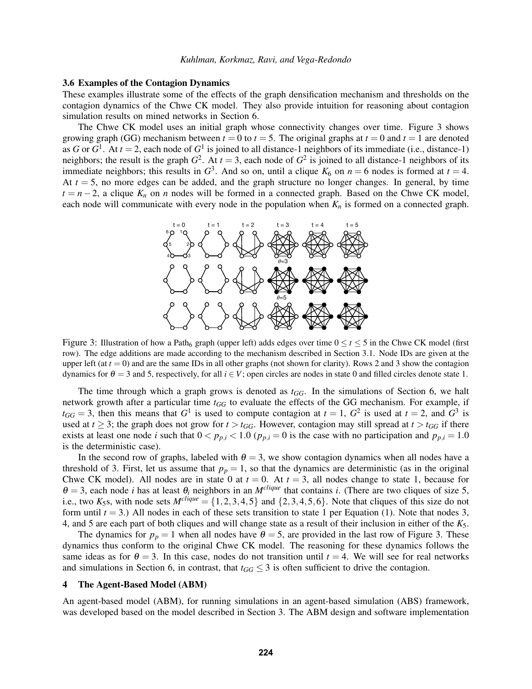#### 3.6 Examples of the Contagion Dynamics

These examples illustrate some of the effects of the graph densification mechanism and thresholds on the contagion dynamics of the Chwe CK model. They also provide intuition for reasoning about contagion simulation results on mined networks in Section [6.](#page-7-1)

<span id="page-6-0"></span>The Chwe CK model uses an initial graph whose connectivity changes over time. Figure [3](#page-6-0) shows growing graph (GG) mechanism between  $t = 0$  to  $t = 5$ . The original graphs at  $t = 0$  and  $t = 1$  are denoted as *G* or  $G^1$ . At  $t = 2$ , each node of  $G^1$  is joined to all distance-1 neighbors of its immediate (i.e., distance-1) neighbors; the result is the graph  $G^2$ . At  $t = 3$ , each node of  $G^2$  is joined to all distance-1 neighbors of its immediate neighbors; this results in  $G^3$ . And so on, until a clique  $K_6$  on  $n = 6$  nodes is formed at  $t = 4$ . At  $t = 5$ , no more edges can be added, and the graph structure no longer changes. In general, by time  $t = n-2$ , a clique  $K_n$  on *n* nodes will be formed in a connected graph. Based on the Chwe CK model, each node will communicate with every node in the population when  $K_n$  is formed on a connected graph.



Figure 3: Illustration of how a Path<sub>6</sub> graph (upper left) adds edges over time  $0 \le t \le 5$  in the Chwe CK model (first row). The edge additions are made according to the mechanism described in Section [3.1.](#page-3-1) Node IDs are given at the upper left (at  $t = 0$ ) and are the same IDs in all other graphs (not shown for clarity). Rows 2 and 3 show the contagion dynamics for  $\theta = 3$  and 5, respectively, for all  $i \in V$ ; open circles are nodes in state 0 and filled circles denote state 1.

The time through which a graph grows is denoted as *tGG*. In the simulations of Section [6,](#page-7-1) we halt network growth after a particular time *tGG* to evaluate the effects of the GG mechanism. For example, if  $t_{GG} = 3$ , then this means that  $G^1$  is used to compute contagion at  $t = 1$ ,  $G^2$  is used at  $t = 2$ , and  $G^3$  is used at  $t \geq 3$ ; the graph does not grow for  $t > t_{GG}$ . However, contagion may still spread at  $t > t_{GG}$  if there exists at least one node *i* such that  $0 < p_{p,i} < 1.0$  ( $p_{p,i} = 0$  is the case with no participation and  $p_{p,i} = 1.0$ is the deterministic case).

In the second row of graphs, labeled with  $\theta = 3$ , we show contagion dynamics when all nodes have a threshold of 3. First, let us assume that  $p_p = 1$ , so that the dynamics are deterministic (as in the original Chwe CK model). All nodes are in state 0 at  $t = 0$ . At  $t = 3$ , all nodes change to state 1, because for  $\theta = 3$ , each node *i* has at least  $\theta_i$  neighbors in an  $M^{clique}$  that contains *i*. (There are two cliques of size 5, i.e., two  $K_5$ s, with node sets  $M^{clique} = \{1,2,3,4,5\}$  and  $\{2,3,4,5,6\}$ . Note that cliques of this size do not form until  $t = 3$ .) All nodes in each of these sets transition to state 1 per Equation [\(1\)](#page-4-1). Note that nodes 3, 4, and 5 are each part of both cliques and will change state as a result of their inclusion in either of the *K*5.

The dynamics for  $p_p = 1$  when all nodes have  $\theta = 5$ , are provided in the last row of Figure [3.](#page-6-0) These dynamics thus conform to the original Chwe CK model. The reasoning for these dynamics follows the same ideas as for  $\theta = 3$ . In this case, nodes do not transition until  $t = 4$ . We will see for real networks and simulations in Section [6,](#page-7-1) in contrast, that  $t_{GG} \leq 3$  is often sufficient to drive the contagion.

#### 4 The Agent-Based Model (ABM)

An agent-based model (ABM), for running simulations in an agent-based simulation (ABS) framework, was developed based on the model described in Section [3.](#page-3-0) The ABM design and software implementation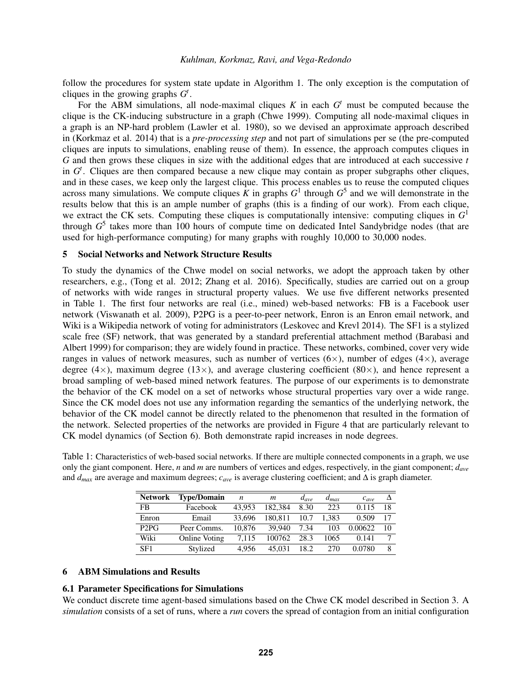follow the procedures for system state update in Algorithm [1.](#page-5-1) The only exception is the computation of cliques in the growing graphs  $G^t$ .

For the ABM simulations, all node-maximal cliques  $K$  in each  $G<sup>t</sup>$  must be computed because the clique is the CK-inducing substructure in a graph [\(Chwe 1999\)](#page-10-2). Computing all node-maximal cliques in a graph is an NP-hard problem [\(Lawler et al. 1980\)](#page-11-23), so we devised an approximate approach described in [\(Korkmaz et al. 2014\)](#page-11-20) that is a *pre-processing step* and not part of simulations per se (the pre-computed cliques are inputs to simulations, enabling reuse of them). In essence, the approach computes cliques in *G* and then grows these cliques in size with the additional edges that are introduced at each successive *t* in  $G<sup>t</sup>$ . Cliques are then compared because a new clique may contain as proper subgraphs other cliques, and in these cases, we keep only the largest clique. This process enables us to reuse the computed cliques across many simulations. We compute cliques  $\bar{K}$  in graphs  $G^1$  through  $G^5$  and we will demonstrate in the results below that this is an ample number of graphs (this is a finding of our work). From each clique, we extract the CK sets. Computing these cliques is computationally intensive: computing cliques in *G* 1 through *G* 5 takes more than 100 hours of compute time on dedicated Intel Sandybridge nodes (that are used for high-performance computing) for many graphs with roughly 10,000 to 30,000 nodes.

### <span id="page-7-0"></span>5 Social Networks and Network Structure Results

To study the dynamics of the Chwe model on social networks, we adopt the approach taken by other researchers, e.g., [\(Tong et al. 2012;](#page-11-24) [Zhang et al. 2016\)](#page-11-25). Specifically, studies are carried out on a group of networks with wide ranges in structural property values. We use five different networks presented in Table [1.](#page-7-2) The first four networks are real (i.e., mined) web-based networks: FB is a Facebook user network [\(Viswanath et al. 2009\)](#page-11-26), P2PG is a peer-to-peer network, Enron is an Enron email network, and Wiki is a Wikipedia network of voting for administrators [\(Leskovec and Krevl 2014\)](#page-11-27). The SF1 is a stylized scale free (SF) network, that was generated by a standard preferential attachment method [\(Barabasi and](#page-10-5) [Albert 1999\)](#page-10-5) for comparison; they are widely found in practice. These networks, combined, cover very wide ranges in values of network measures, such as number of vertices  $(6\times)$ , number of edges  $(4\times)$ , average degree (4×), maximum degree (13×), and average clustering coefficient (80×), and hence represent a broad sampling of web-based mined network features. The purpose of our experiments is to demonstrate the behavior of the CK model on a set of networks whose structural properties vary over a wide range. Since the CK model does not use any information regarding the semantics of the underlying network, the behavior of the CK model cannot be directly related to the phenomenon that resulted in the formation of the network. Selected properties of the networks are provided in Figure [4](#page-8-0) that are particularly relevant to CK model dynamics (of Section [6\)](#page-7-1). Both demonstrate rapid increases in node degrees.

<span id="page-7-2"></span>Table 1: Characteristics of web-based social networks. If there are multiple connected components in a graph, we use only the giant component. Here, *n* and *m* are numbers of vertices and edges, respectively, in the giant component; *dave* and  $d_{max}$  are average and maximum degrees;  $c_{ave}$  is average clustering coefficient; and  $\Delta$  is graph diameter.

| <b>Network</b>                | <b>Type/Domain</b> | n      | m       | $d_{ave}$ | $d_{max}$ | $c_{ave}$ |    |
|-------------------------------|--------------------|--------|---------|-----------|-----------|-----------|----|
| <b>FB</b>                     | Facebook           | 43.953 | 182.384 | 8.30      | 223       | 0.115     | 18 |
| Enron                         | Email              | 33,696 | 180.811 | 10.7      | 1.383     | 0.509     | 17 |
| P <sub>2</sub> P <sub>G</sub> | Peer Comms.        | 10.876 | 39.940  | 7.34      | 103       | 0.00622   | 10 |
| Wiki                          | Online Voting      | 7.115  | 100762  | 28.3      | 1065      | 0.141     |    |
| SF1                           | Stylized           | 4.956  | 45.031  | 18.2      | 270       | 0.0780    | 8  |

### <span id="page-7-1"></span>6 ABM Simulations and Results

### 6.1 Parameter Specifications for Simulations

We conduct discrete time agent-based simulations based on the Chwe CK model described in Section [3.](#page-3-0) A *simulation* consists of a set of runs, where a *run* covers the spread of contagion from an initial configuration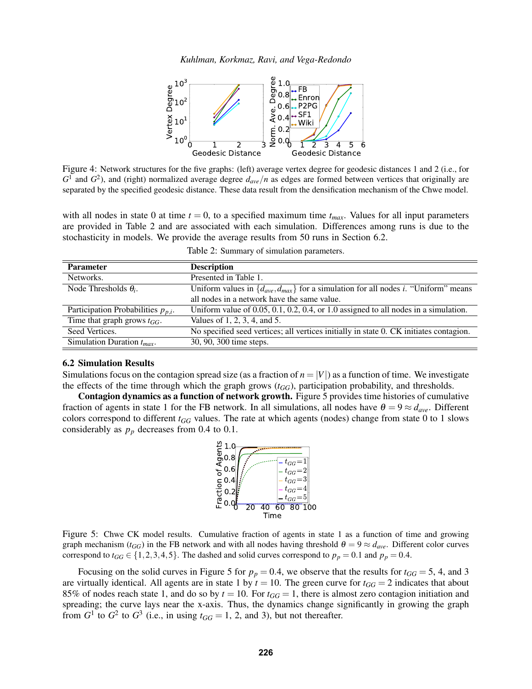*Kuhlman, Korkmaz, Ravi, and Vega-Redondo*



<span id="page-8-0"></span>Figure 4: Network structures for the five graphs: (left) average vertex degree for geodesic distances 1 and 2 (i.e., for  $G<sup>1</sup>$  and  $G<sup>2</sup>$ ), and (right) normalized average degree  $d_{ave}/n$  as edges are formed between vertices that originally are separated by the specified geodesic distance. These data result from the densification mechanism of the Chwe model.

with all nodes in state 0 at time  $t = 0$ , to a specified maximum time  $t_{max}$ . Values for all input parameters are provided in Table [2](#page-8-1) and are associated with each simulation. Differences among runs is due to the stochasticity in models. We provide the average results from 50 runs in Section 6.2.

|  |  | Table 2: Summary of simulation parameters. |
|--|--|--------------------------------------------|
|  |  |                                            |

<span id="page-8-1"></span>

| Parameter                               | <b>Description</b>                                                                                 |
|-----------------------------------------|----------------------------------------------------------------------------------------------------|
| Networks.                               | Presented in Table 1.                                                                              |
| Node Thresholds $\theta_i$ .            | Uniform values in $\{d_{ave}, d_{max}\}$ for a simulation for all nodes <i>i</i> . "Uniform" means |
|                                         | all nodes in a network have the same value.                                                        |
| Participation Probabilities $p_{p,i}$ . | Uniform value of $0.05$ , $0.1$ , $0.2$ , $0.4$ , or 1.0 assigned to all nodes in a simulation.    |
| Time that graph grows $t_{GG}$ .        | Values of 1, 2, 3, 4, and 5.                                                                       |
| Seed Vertices.                          | No specified seed vertices; all vertices initially in state 0. CK initiates contagion.             |
| Simulation Duration $t_{max}$ .         | 30, 90, 300 time steps.                                                                            |
|                                         |                                                                                                    |

### 6.2 Simulation Results

Simulations focus on the contagion spread size (as a fraction of  $n = |V|$ ) as a function of time. We investigate the effects of the time through which the graph grows  $(t_{GG})$ , participation probability, and thresholds.

<span id="page-8-2"></span>Contagion dynamics as a function of network growth. Figure [5](#page-8-2) provides time histories of cumulative fraction of agents in state 1 for the FB network. In all simulations, all nodes have  $\theta = 9 \approx d_{ave}$ . Different colors correspond to different *tGG* values. The rate at which agents (nodes) change from state 0 to 1 slows considerably as  $p_p$  decreases from 0.4 to 0.1.



Figure 5: Chwe CK model results. Cumulative fraction of agents in state 1 as a function of time and growing graph mechanism ( $t_{GG}$ ) in the FB network and with all nodes having threshold  $\theta = 9 \approx d_{ave}$ . Different color curves correspond to  $t_{GG} \in \{1,2,3,4,5\}$ . The dashed and solid curves correspond to  $p_p = 0.1$  and  $p_p = 0.4$ .

Focusing on the solid curves in Figure [5](#page-8-2) for  $p_p = 0.4$ , we observe that the results for  $t_{GG} = 5, 4$ , and 3 are virtually identical. All agents are in state 1 by  $t = 10$ . The green curve for  $t_{GG} = 2$  indicates that about 85% of nodes reach state 1, and do so by  $t = 10$ . For  $t_{GG} = 1$ , there is almost zero contagion initiation and spreading; the curve lays near the x-axis. Thus, the dynamics change significantly in growing the graph from  $G^1$  to  $G^2$  to  $G^3$  (i.e., in using  $t_{GG} = 1, 2$ , and 3), but not thereafter.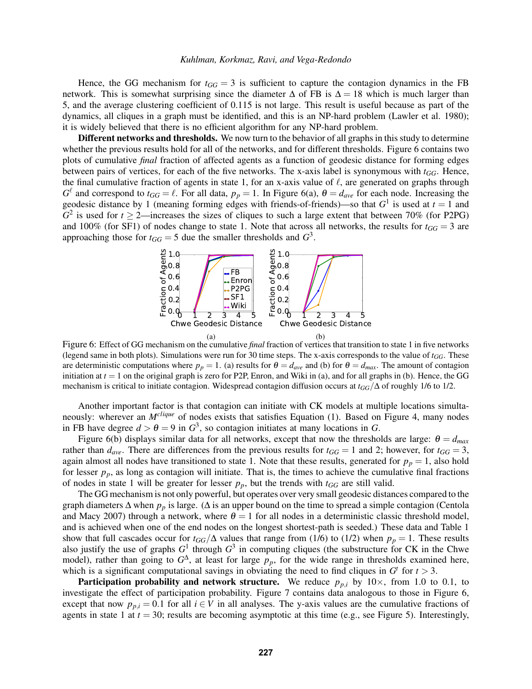Hence, the GG mechanism for  $t_{GG} = 3$  is sufficient to capture the contagion dynamics in the FB network. This is somewhat surprising since the diameter  $\Delta$  of FB is  $\Delta = 18$  which is much larger than 5, and the average clustering coefficient of 0.115 is not large. This result is useful because as part of the dynamics, all cliques in a graph must be identified, and this is an NP-hard problem [\(Lawler et al. 1980\)](#page-11-23); it is widely believed that there is no efficient algorithm for any NP-hard problem.

Different networks and thresholds. We now turn to the behavior of all graphs in this study to determine whether the previous results hold for all of the networks, and for different thresholds. Figure [6](#page-9-0) contains two plots of cumulative *final* fraction of affected agents as a function of geodesic distance for forming edges between pairs of vertices, for each of the five networks. The x-axis label is synonymous with  $t_{GG}$ . Hence, the final cumulative fraction of agents in state 1, for an x-axis value of  $\ell$ , are generated on graphs through  $G^{\ell}$  and correspond to  $t_{GG} = \ell$ . For all data,  $p_p = 1$ . In Figure [6\(a\),](#page-9-1)  $\theta = d_{ave}$  for each node. Increasing the geodesic distance by 1 (meaning forming edges with friends-of-friends)—so that  $G^1$  is used at  $t = 1$  and  $G<sup>2</sup>$  is used for  $t \ge 2$ —increases the sizes of cliques to such a large extent that between 70% (for P2PG) and 100% (for SF1) of nodes change to state 1. Note that across all networks, the results for  $t_{GG} = 3$  are approaching those for  $t_{GG} = 5$  due the smaller thresholds and  $G^3$ .

<span id="page-9-2"></span><span id="page-9-1"></span><span id="page-9-0"></span>

Figure 6: Effect of GG mechanism on the cumulative *final* fraction of vertices that transition to state 1 in five networks (legend same in both plots). Simulations were run for 30 time steps. The x-axis corresponds to the value of  $t_{GG}$ . These are deterministic computations where  $p_p = 1$ . [\(a\)](#page-9-1) results for  $\theta = d_{ave}$  and [\(b\)](#page-9-2) for  $\theta = d_{max}$ . The amount of contagion initiation at  $t = 1$  on the original graph is zero for P2P, Enron, and Wiki in [\(a\),](#page-9-1) and for all graphs in [\(b\).](#page-9-2) Hence, the GG mechanism is critical to initiate contagion. Widespread contagion diffusion occurs at *tGG*/∆ of roughly 1/6 to 1/2.

Another important factor is that contagion can initiate with CK models at multiple locations simultaneously: wherever an *Mclique* of nodes exists that satisfies Equation [\(1\)](#page-4-1). Based on Figure [4,](#page-8-0) many nodes in FB have degree  $d > \theta = 9$  in  $G^3$ , so contagion initiates at many locations in *G*.

Figure [6\(b\)](#page-9-2) displays similar data for all networks, except that now the thresholds are large:  $\theta = d_{max}$ rather than  $d_{ave}$ . There are differences from the previous results for  $t_{GG} = 1$  and 2; however, for  $t_{GG} = 3$ , again almost all nodes have transitioned to state 1. Note that these results, generated for  $p_p = 1$ , also hold for lesser  $p_p$ , as long as contagion will initiate. That is, the times to achieve the cumulative final fractions of nodes in state 1 will be greater for lesser  $p_p$ , but the trends with  $t_{GG}$  are still valid.

The GG mechanism is not only powerful, but operates over very small geodesic distances compared to the graph diameters ∆ when *p<sup>p</sup>* is large. (∆ is an upper bound on the time to spread a simple contagion [\(Centola](#page-10-6) [and Macy 2007\)](#page-10-6) through a network, where  $\theta = 1$  for all nodes in a deterministic classic threshold model, and is achieved when one of the end nodes on the longest shortest-path is seeded.) These data and Table [1](#page-7-2) show that full cascades occur for  $t_{GG}/\Delta$  values that range from (1/6) to (1/2) when  $p_p = 1$ . These results also justify the use of graphs  $G^1$  through  $G^3$  in computing cliques (the substructure for CK in the Chwe model), rather than going to  $G^{\Delta}$ , at least for large  $p_p$ , for the wide range in thresholds examined here, which is a significant computational savings in obviating the need to find cliques in  $G<sup>t</sup>$  for  $t > 3$ .

**Participation probability and network structure.** We reduce  $p_{p,i}$  by  $10\times$ , from 1.0 to 0.1, to investigate the effect of participation probability. Figure [7](#page-10-7) contains data analogous to those in Figure [6,](#page-9-0) except that now  $p_{p,i} = 0.1$  for all  $i \in V$  in all analyses. The y-axis values are the cumulative fractions of agents in state 1 at  $t = 30$ ; results are becoming asymptotic at this time (e.g., see Figure [5\)](#page-8-2). Interestingly,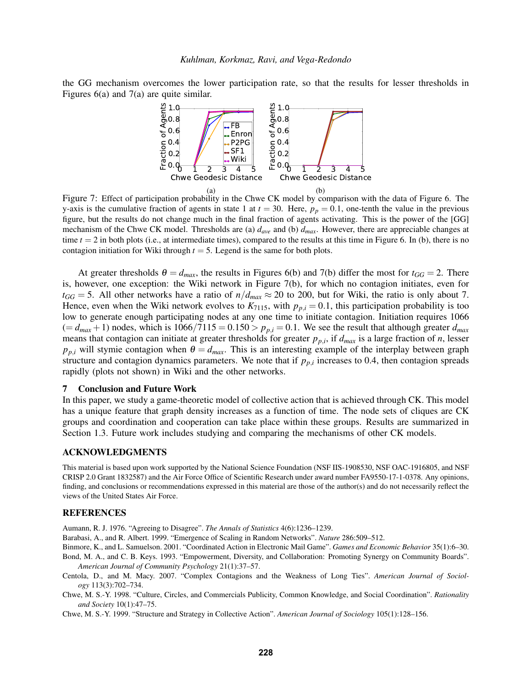<span id="page-10-8"></span><span id="page-10-7"></span>the GG mechanism overcomes the lower participation rate, so that the results for lesser thresholds in Figures [6\(a\)](#page-9-1) and [7\(a\)](#page-10-8) are quite similar.

<span id="page-10-9"></span>

Figure 7: Effect of participation probability in the Chwe CK model by comparison with the data of Figure [6.](#page-9-0) The y-axis is the cumulative fraction of agents in state 1 at  $t = 30$ . Here,  $p_p = 0.1$ , one-tenth the value in the previous figure, but the results do not change much in the final fraction of agents activating. This is the power of the [GG] mechanism of the Chwe CK model. Thresholds are [\(a\)](#page-10-8) *dave* and [\(b\)](#page-10-9) *dmax*. However, there are appreciable changes at time  $t = 2$  in both plots (i.e., at intermediate times), compared to the results at this time in Figure [6.](#page-9-0) In [\(b\),](#page-10-9) there is no contagion initiation for Wiki through  $t = 5$ . Legend is the same for both plots.

At greater thresholds  $\theta = d_{max}$ , the results in Figures [6\(b\)](#page-9-2) and [7\(b\)](#page-10-9) differ the most for  $t_{GG} = 2$ . There is, however, one exception: the Wiki network in Figure [7\(b\),](#page-10-9) for which no contagion initiates, even for  $t_{GG} = 5$ . All other networks have a ratio of  $n/d_{max} \approx 20$  to 200, but for Wiki, the ratio is only about 7. Hence, even when the Wiki network evolves to  $K_{7115}$ , with  $p_{p,i} = 0.1$ , this participation probability is too low to generate enough participating nodes at any one time to initiate contagion. Initiation requires 1066  $(= d_{max} + 1)$  nodes, which is  $1066/7115 = 0.150 > p_{p,i} = 0.1$ . We see the result that although greater  $d_{max}$ means that contagion can initiate at greater thresholds for greater  $p_{p,i}$ , if  $d_{max}$  is a large fraction of *n*, lesser  $p_{p,i}$  will stymie contagion when  $\theta = d_{max}$ . This is an interesting example of the interplay between graph structure and contagion dynamics parameters. We note that if  $p_{p,i}$  increases to 0.4, then contagion spreads rapidly (plots not shown) in Wiki and the other networks.

### 7 Conclusion and Future Work

In this paper, we study a game-theoretic model of collective action that is achieved through CK. This model has a unique feature that graph density increases as a function of time. The node sets of cliques are CK groups and coordination and cooperation can take place within these groups. Results are summarized in Section [1.3.](#page-2-4) Future work includes studying and comparing the mechanisms of other CK models.

#### ACKNOWLEDGMENTS

This material is based upon work supported by the National Science Foundation (NSF IIS-1908530, NSF OAC-1916805, and NSF CRISP 2.0 Grant 1832587) and the Air Force Office of Scientific Research under award number FA9550-17-1-0378. Any opinions, finding, and conclusions or recommendations expressed in this material are those of the author(s) and do not necessarily reflect the views of the United States Air Force.

#### REFERENCES

<span id="page-10-3"></span>Aumann, R. J. 1976. "Agreeing to Disagree". *The Annals of Statistics* 4(6):1236–1239.

<span id="page-10-5"></span>Barabasi, A., and R. Albert. 1999. "Emergence of Scaling in Random Networks". *Nature* 286:509–512.

<span id="page-10-4"></span><span id="page-10-1"></span>Binmore, K., and L. Samuelson. 2001. "Coordinated Action in Electronic Mail Game". *Games and Economic Behavior* 35(1):6–30. Bond, M. A., and C. B. Keys. 1993. "Empowerment, Diversity, and Collaboration: Promoting Synergy on Community Boards".

*American Journal of Community Psychology* 21(1):37–57.

<span id="page-10-6"></span>Centola, D., and M. Macy. 2007. "Complex Contagions and the Weakness of Long Ties". *American Journal of Sociology* 113(3):702–734.

<span id="page-10-0"></span>Chwe, M. S.-Y. 1998. "Culture, Circles, and Commercials Publicity, Common Knowledge, and Social Coordination". *Rationality and Society* 10(1):47–75.

<span id="page-10-2"></span>Chwe, M. S.-Y. 1999. "Structure and Strategy in Collective Action". *American Journal of Sociology* 105(1):128–156.